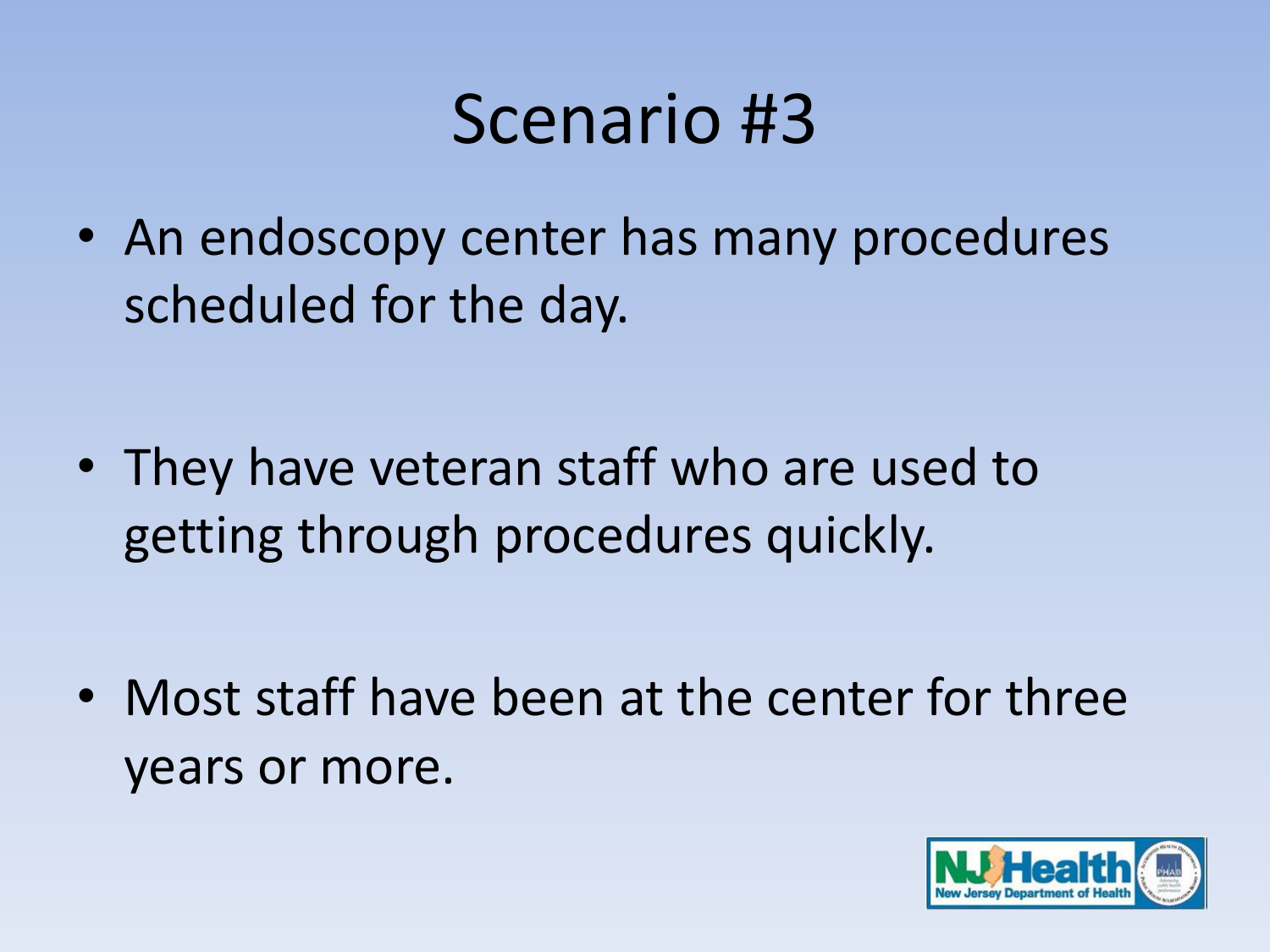• An endoscopy center has many procedures scheduled for the day.

• They have veteran staff who are used to getting through procedures quickly.

• Most staff have been at the center for three years or more.

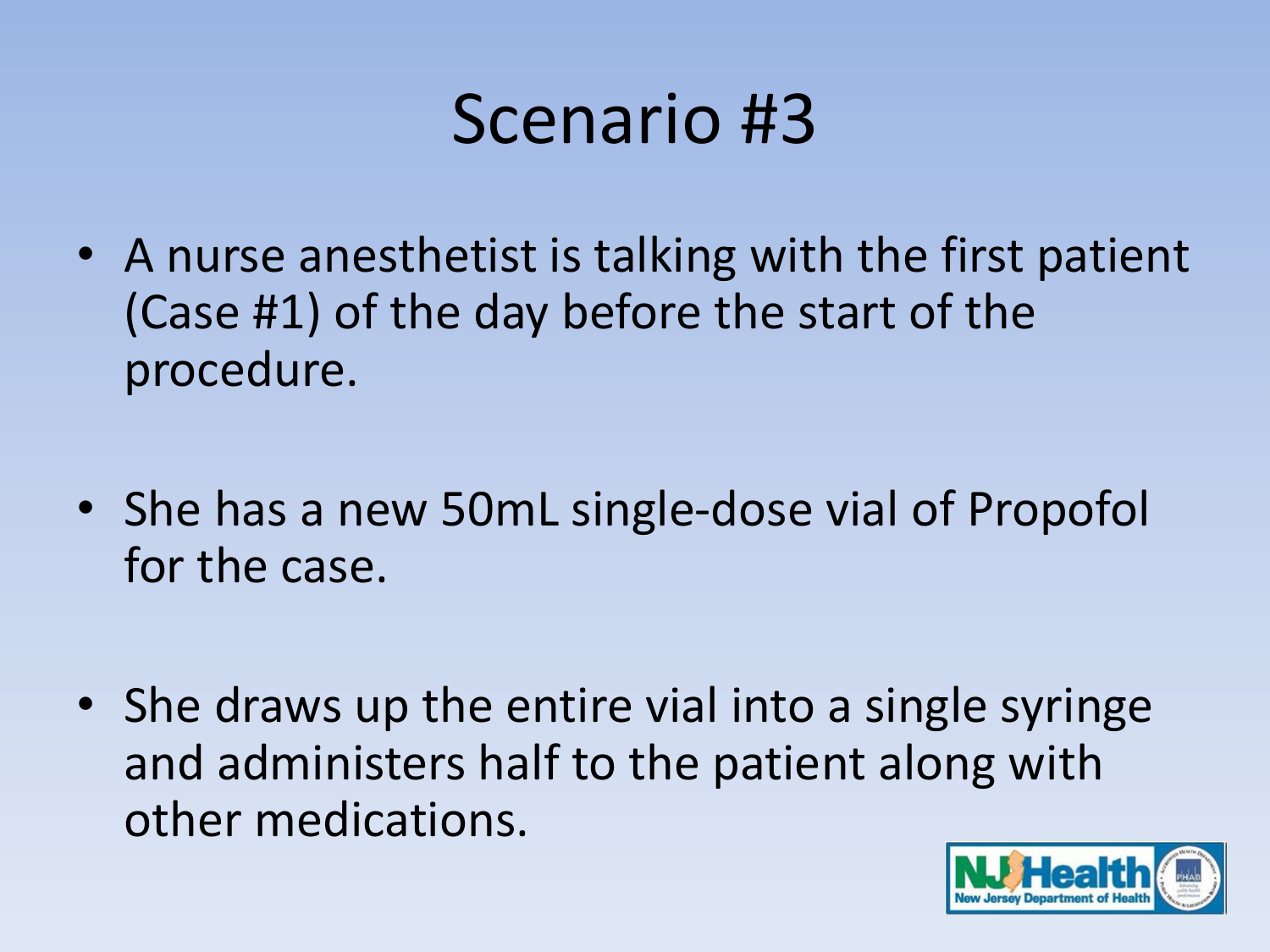- A nurse anesthetist is talking with the first patient (Case #1) of the day before the start of the procedure.
- She has a new 50mL single-dose vial of Propofol for the case.
- She draws up the entire vial into a single syringe and administers half to the patient along with other medications.

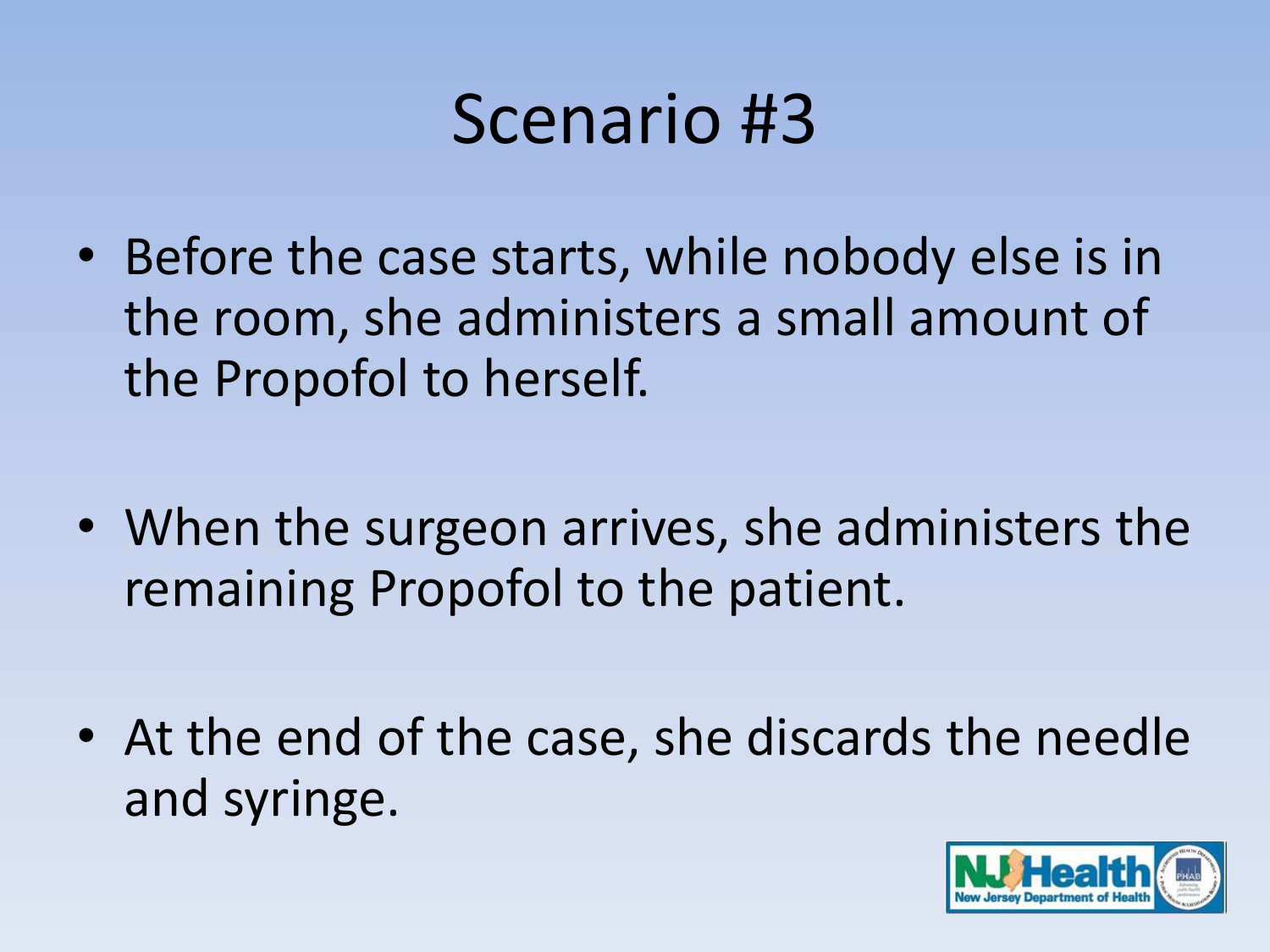- Before the case starts, while nobody else is in the room, she administers a small amount of the Propofol to herself.
- When the surgeon arrives, she administers the remaining Propofol to the patient.
- At the end of the case, she discards the needle and syringe.

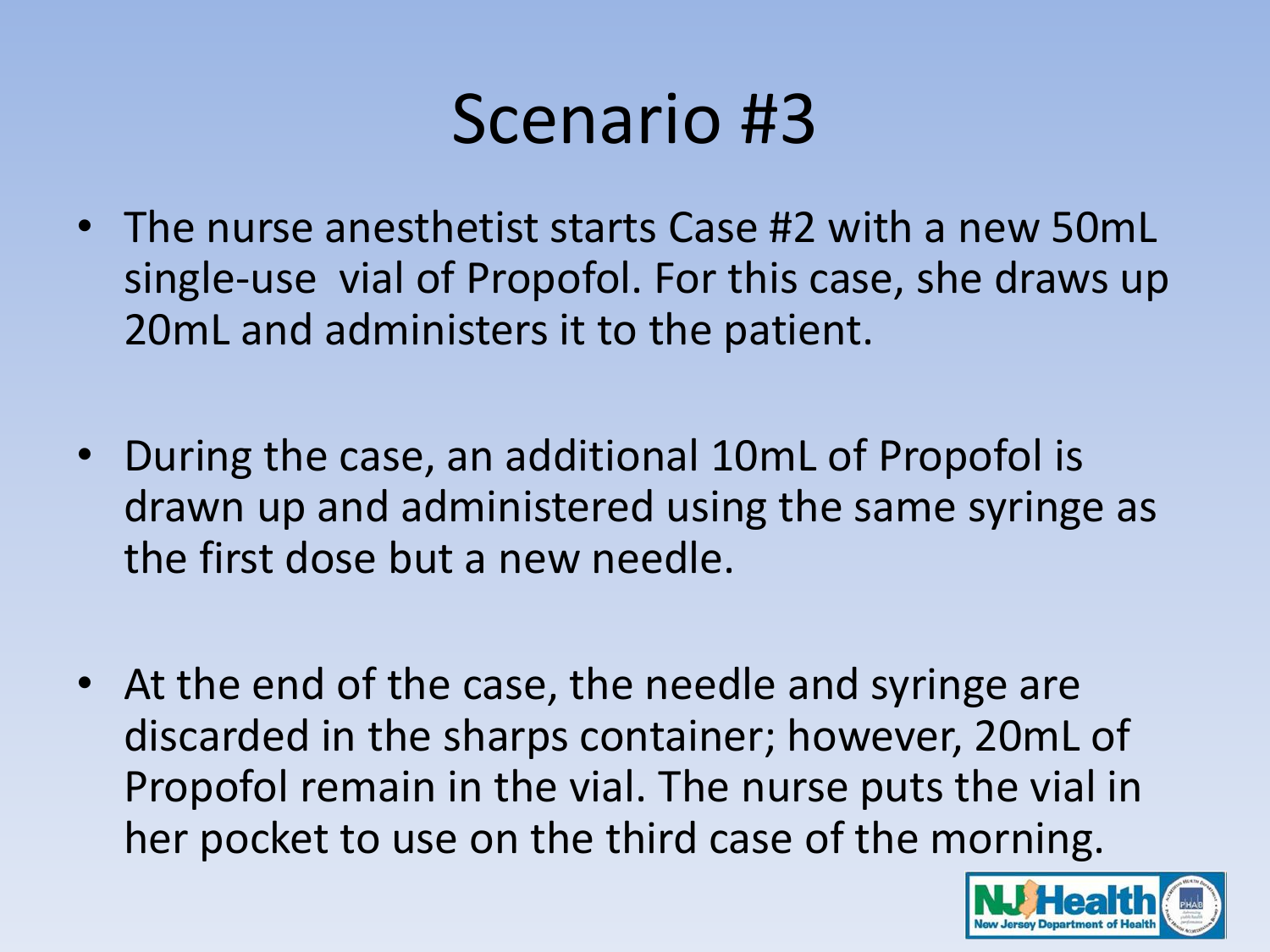- The nurse anesthetist starts Case #2 with a new 50mL single-use vial of Propofol. For this case, she draws up 20mL and administers it to the patient.
- During the case, an additional 10mL of Propofol is drawn up and administered using the same syringe as the first dose but a new needle.
- At the end of the case, the needle and syringe are discarded in the sharps container; however, 20mL of Propofol remain in the vial. The nurse puts the vial in her pocket to use on the third case of the morning.

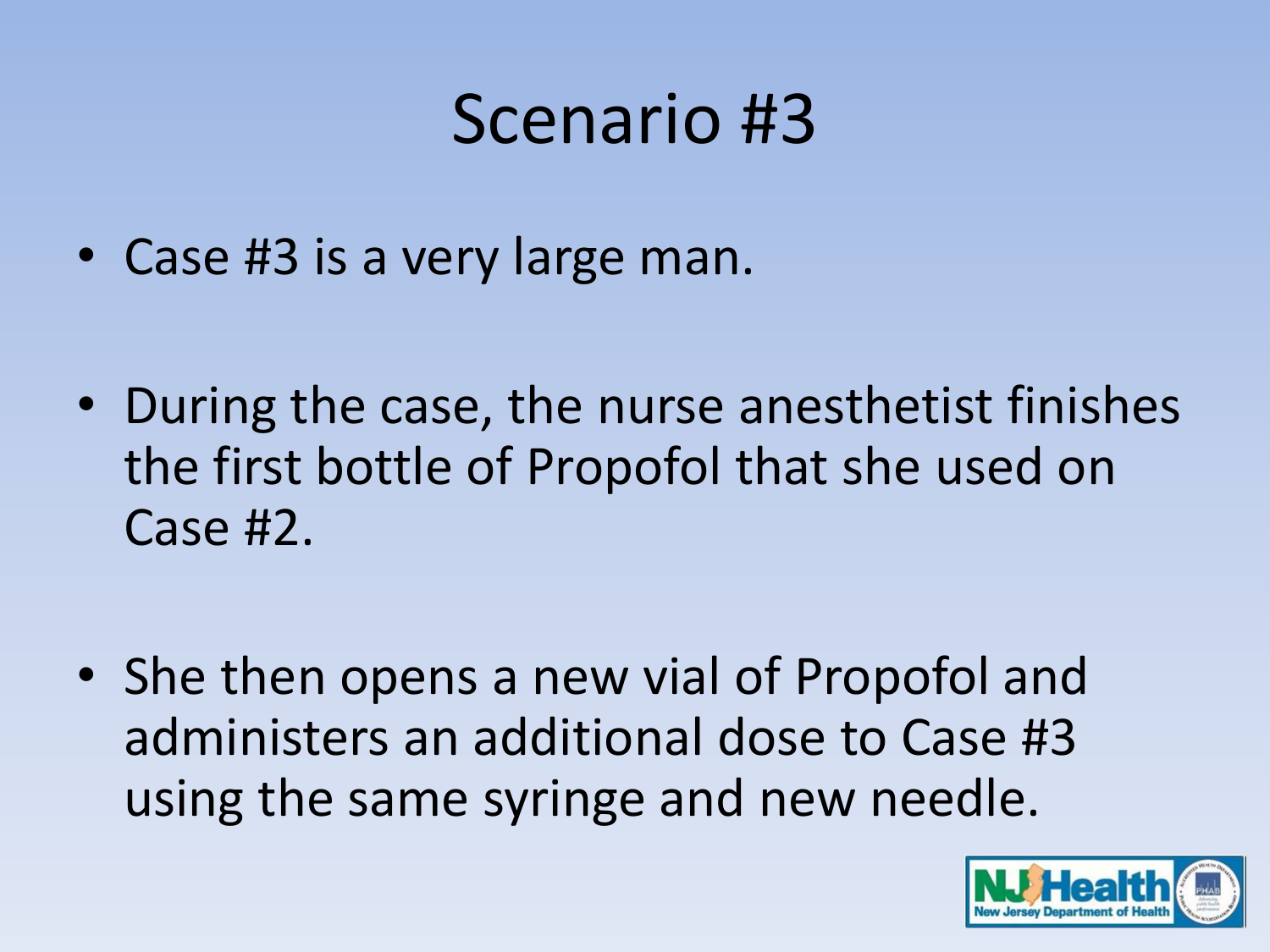- Case #3 is a very large man.
- During the case, the nurse anesthetist finishes the first bottle of Propofol that she used on Case #2.
- She then opens a new vial of Propofol and administers an additional dose to Case #3 using the same syringe and new needle.

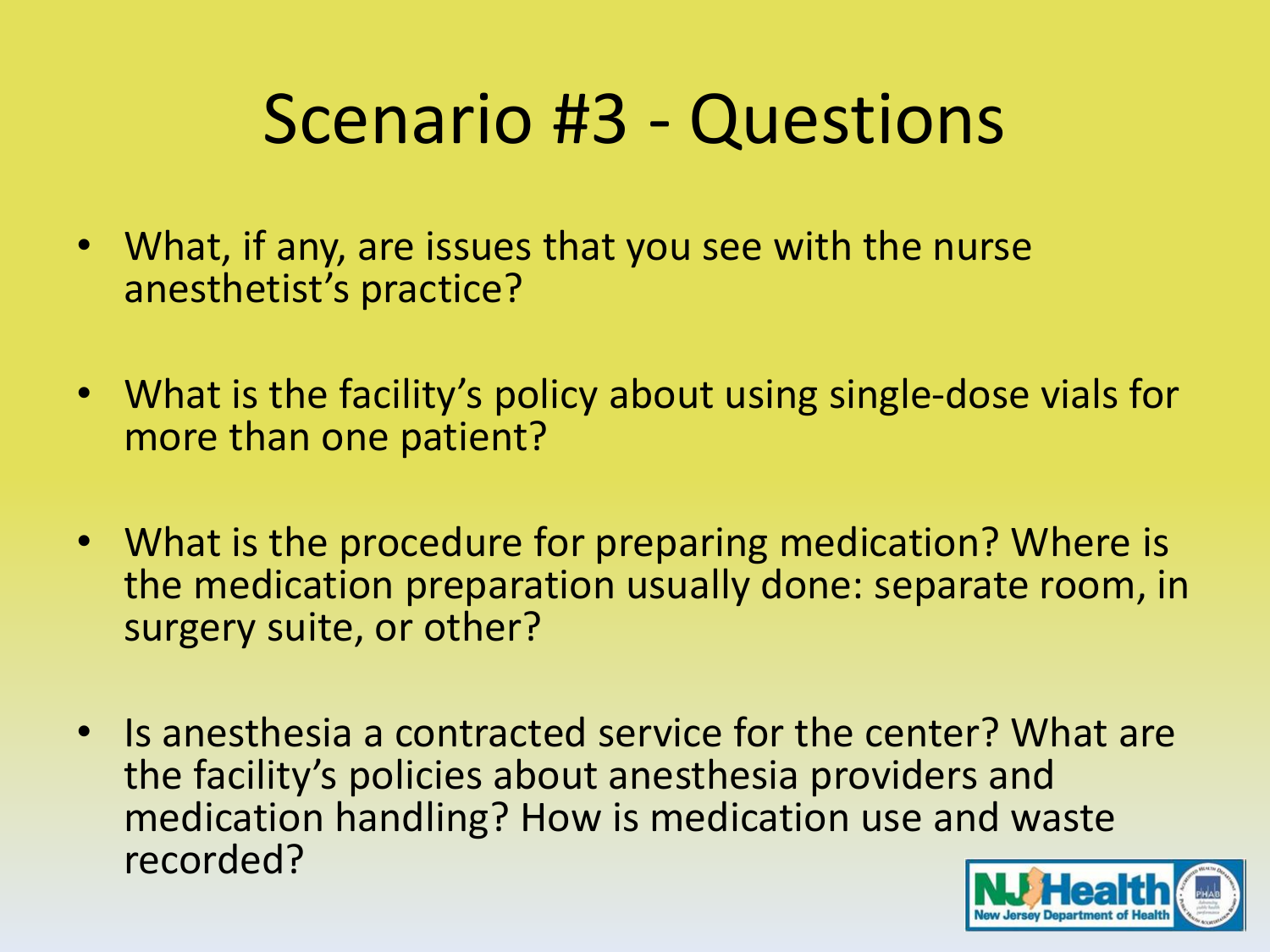- What, if any, are issues that you see with the nurse anesthetist's practice?
- What is the facility's policy about using single-dose vials for more than one patient?
- What is the procedure for preparing medication? Where is the medication preparation usually done: separate room, in surgery suite, or other?
- Is anesthesia a contracted service for the center? What are the facility's policies about anesthesia providers and medication handling? How is medication use and waste recorded?

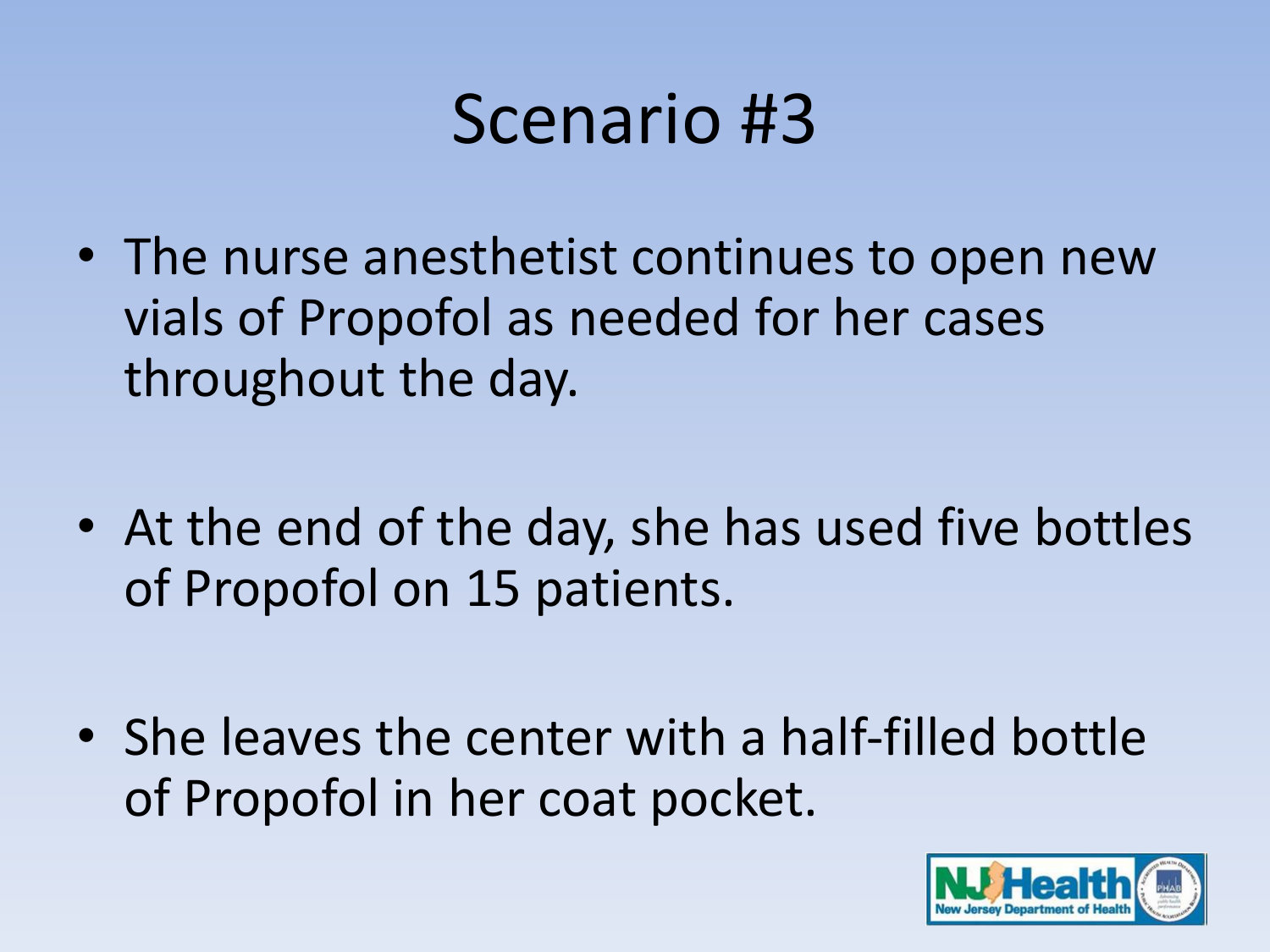- The nurse anesthetist continues to open new vials of Propofol as needed for her cases throughout the day.
- At the end of the day, she has used five bottles of Propofol on 15 patients.
- She leaves the center with a half-filled bottle of Propofol in her coat pocket.

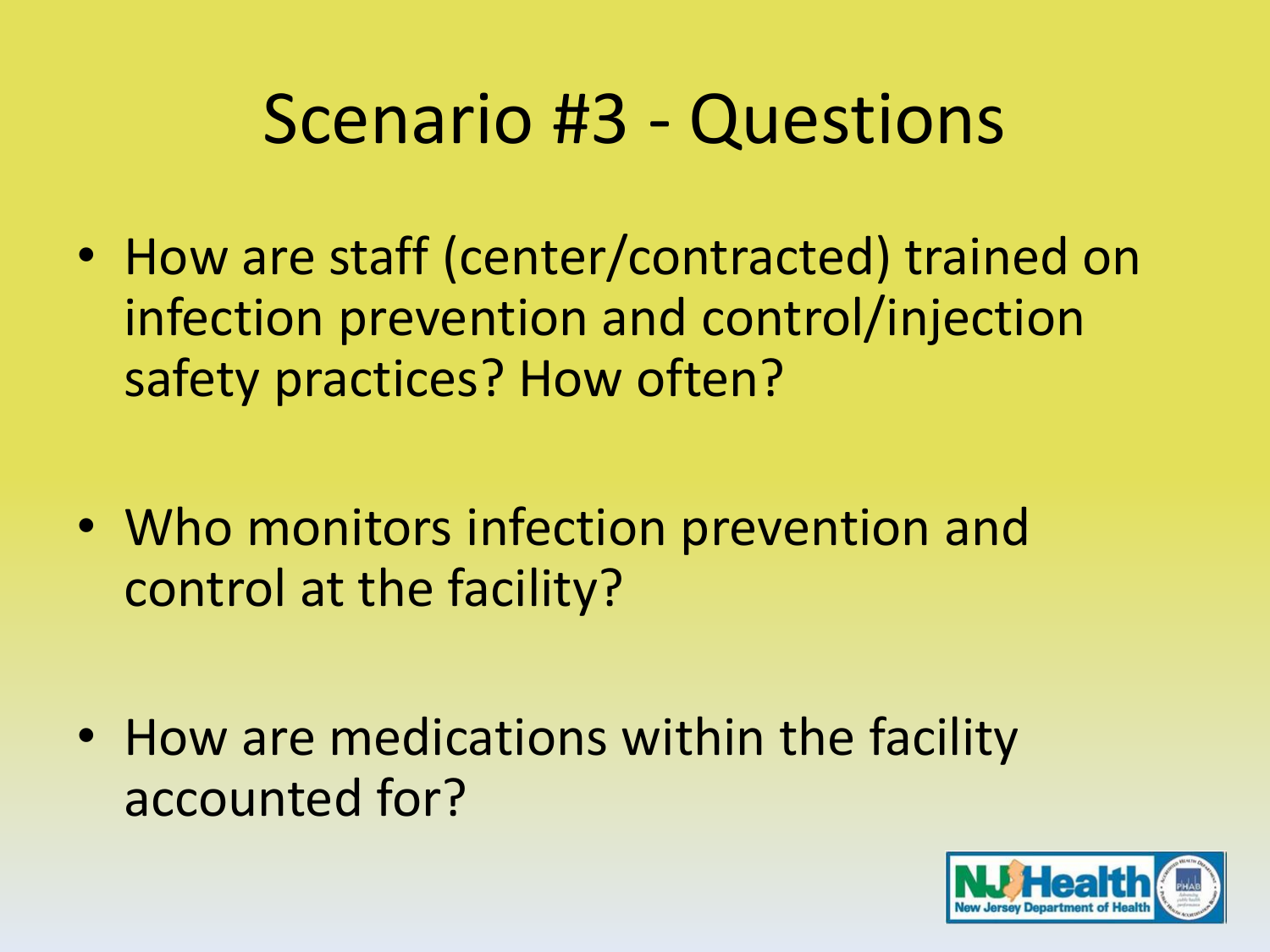- How are staff (center/contracted) trained on infection prevention and control/injection safety practices? How often?
- Who monitors infection prevention and control at the facility?
- How are medications within the facility accounted for?

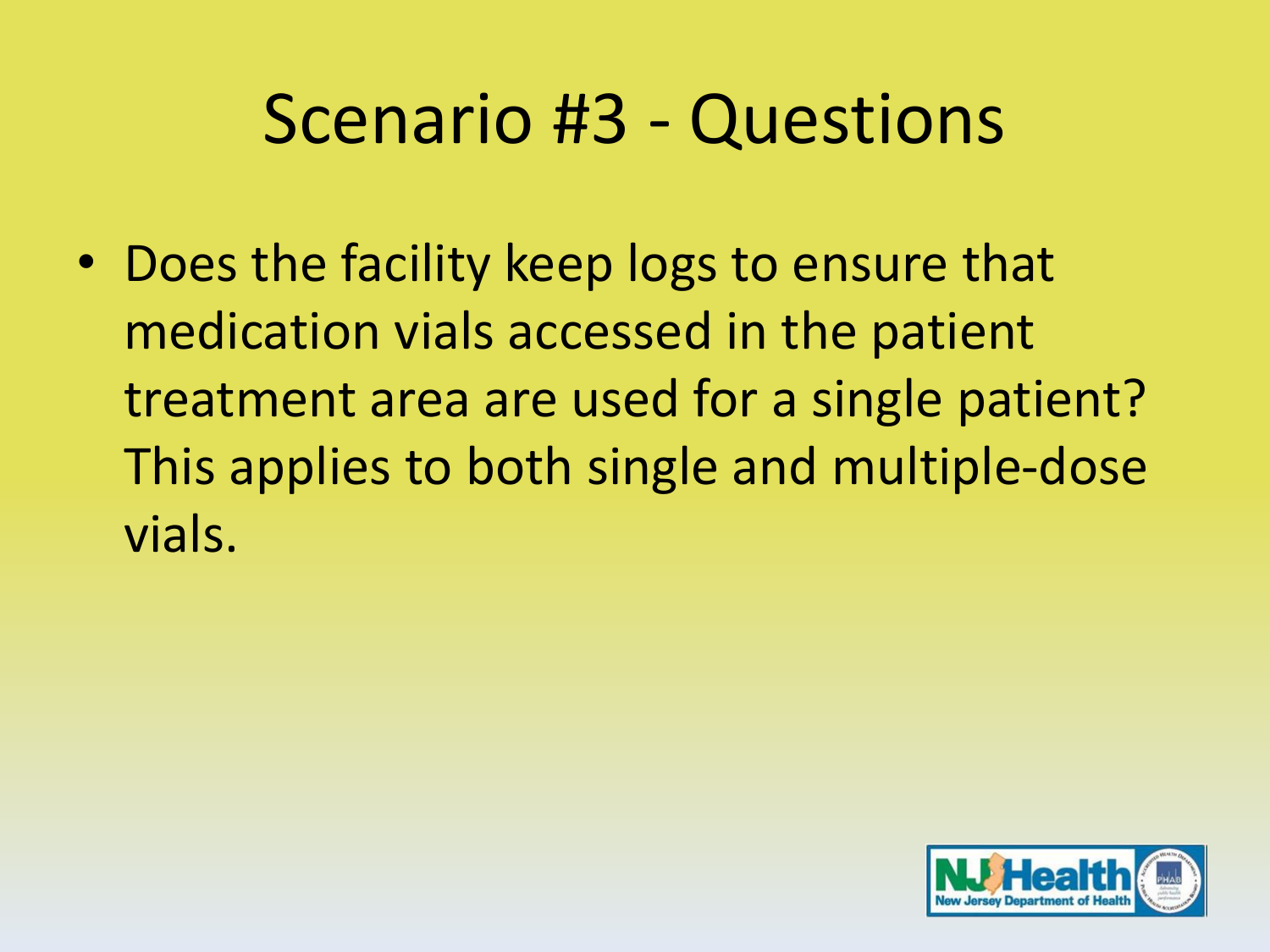• Does the facility keep logs to ensure that medication vials accessed in the patient treatment area are used for a single patient? This applies to both single and multiple-dose vials.

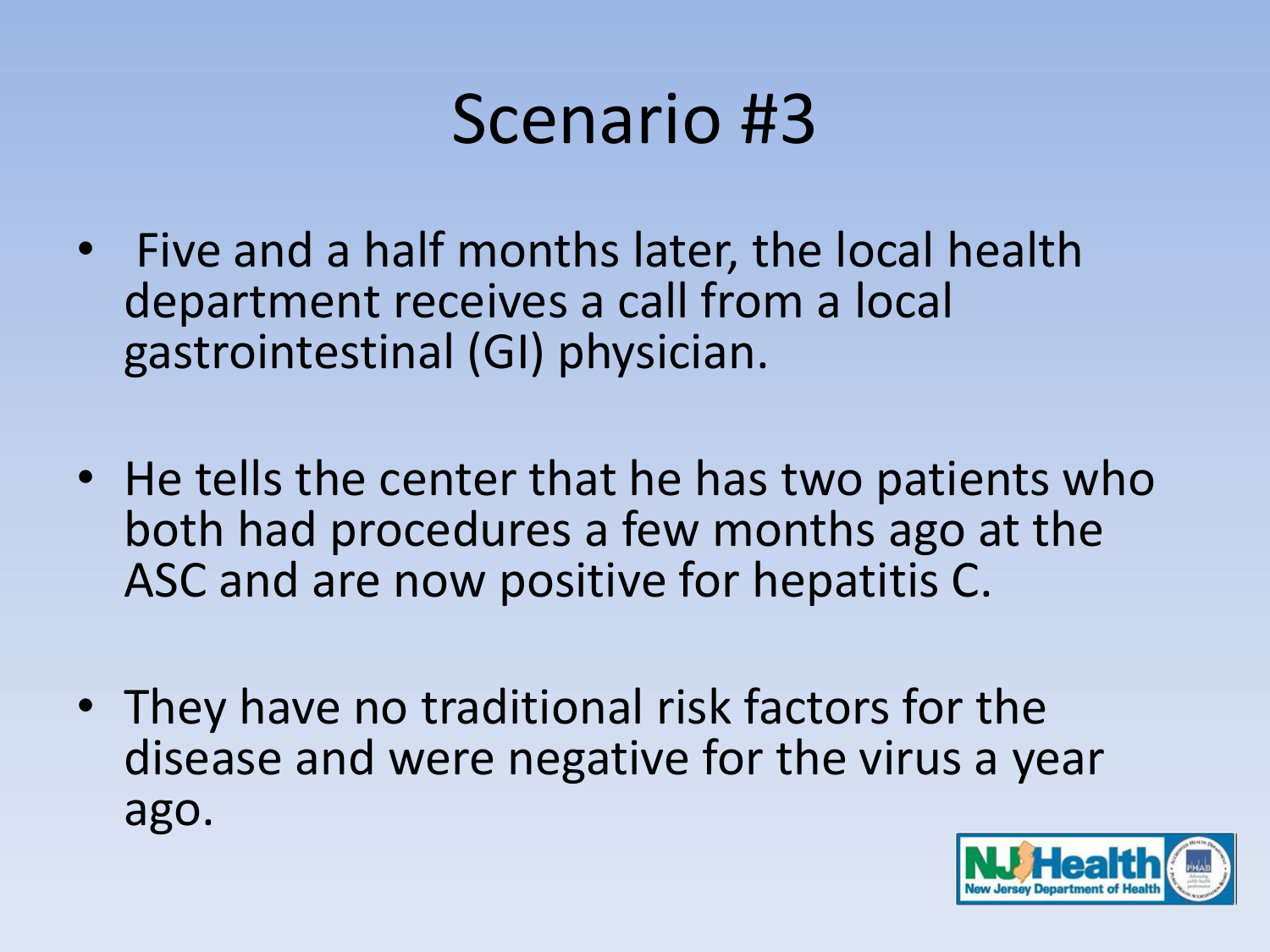- Five and a half months later, the local health department receives a call from a local gastrointestinal (GI) physician.
- He tells the center that he has two patients who both had procedures a few months ago at the ASC and are now positive for hepatitis C.
- They have no traditional risk factors for the disease and were negative for the virus a year ago.

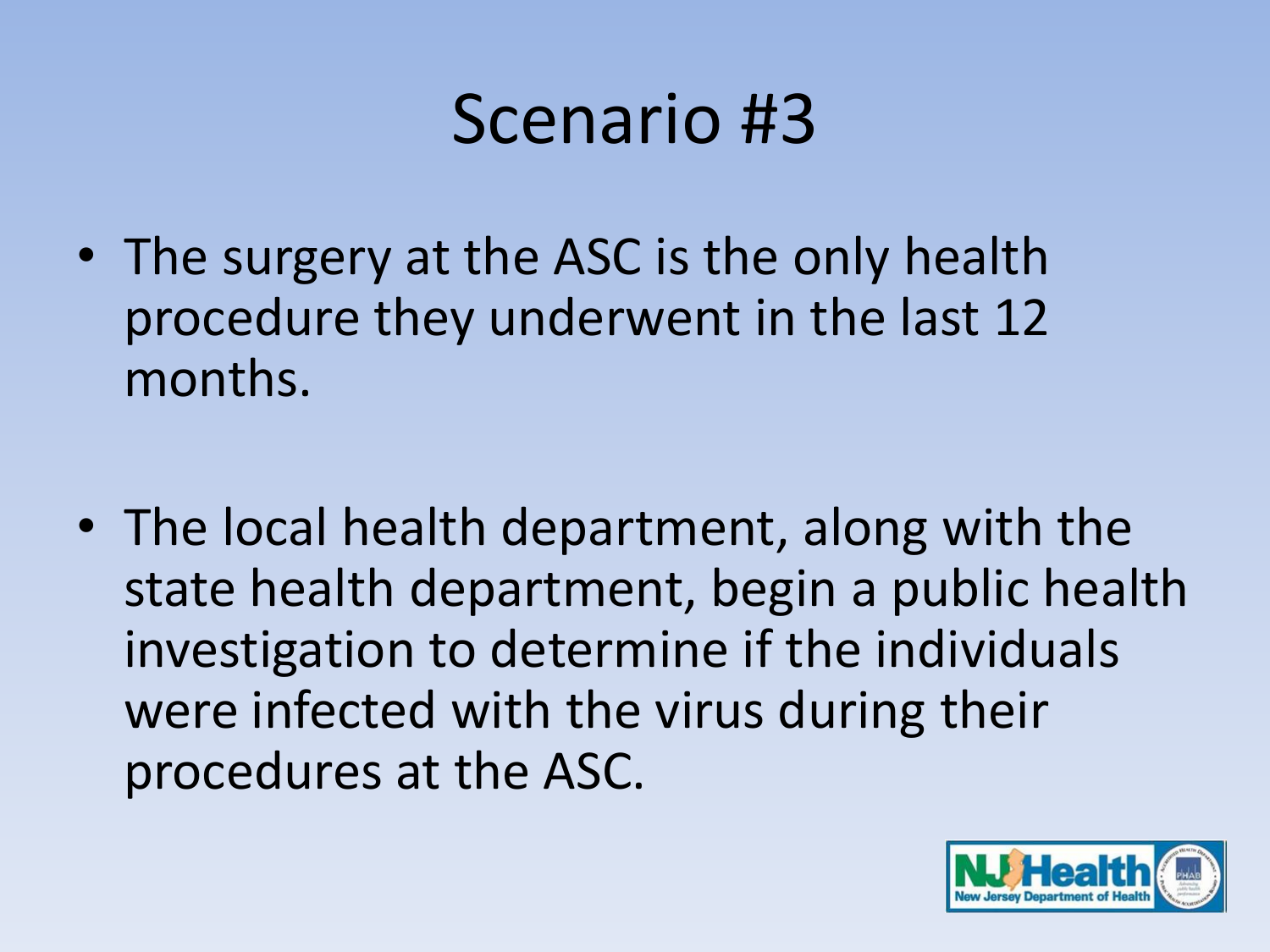- The surgery at the ASC is the only health procedure they underwent in the last 12 months.
- The local health department, along with the state health department, begin a public health investigation to determine if the individuals were infected with the virus during their procedures at the ASC.

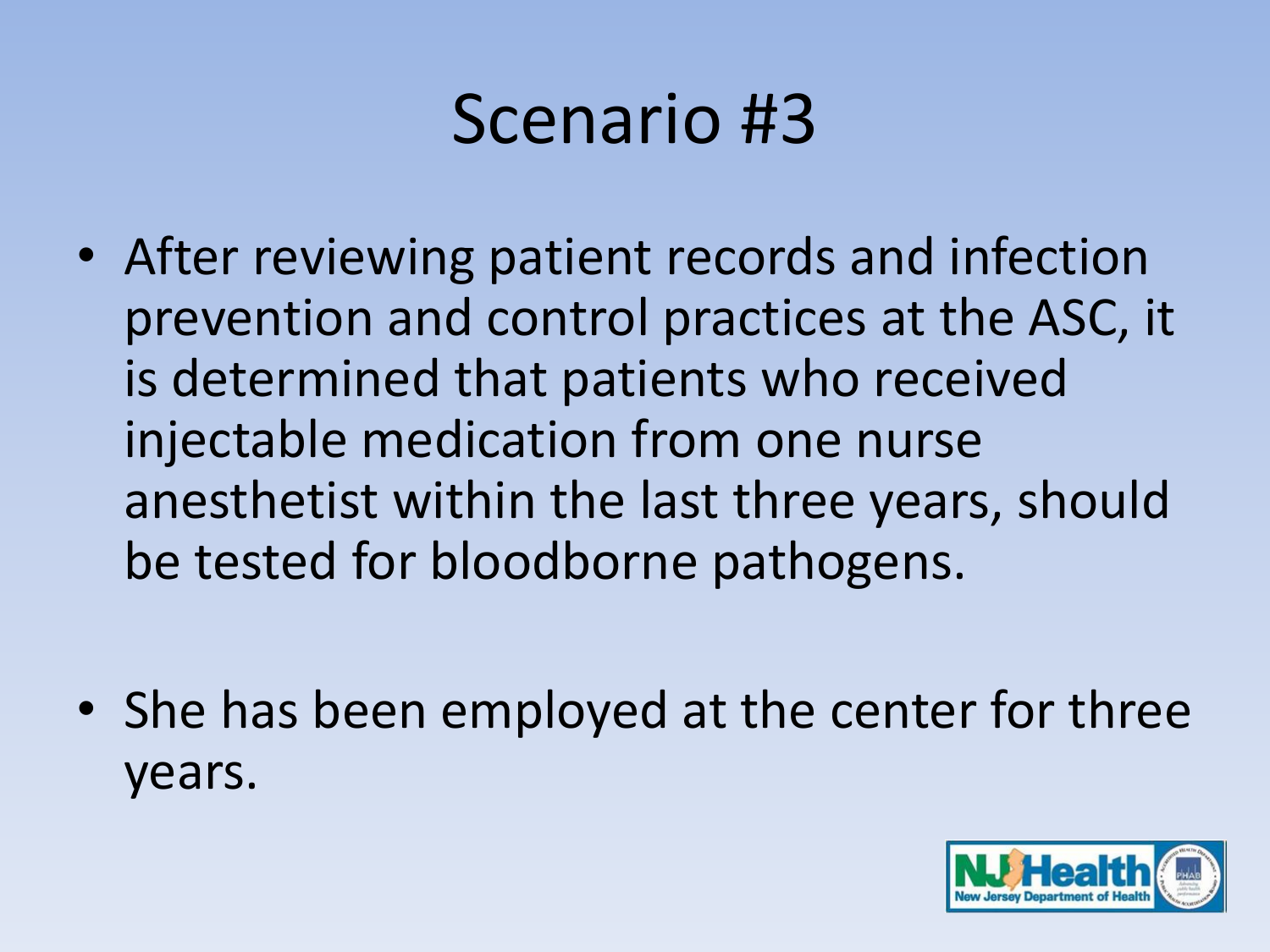- After reviewing patient records and infection prevention and control practices at the ASC, it is determined that patients who received injectable medication from one nurse anesthetist within the last three years, should be tested for bloodborne pathogens.
- She has been employed at the center for three years.

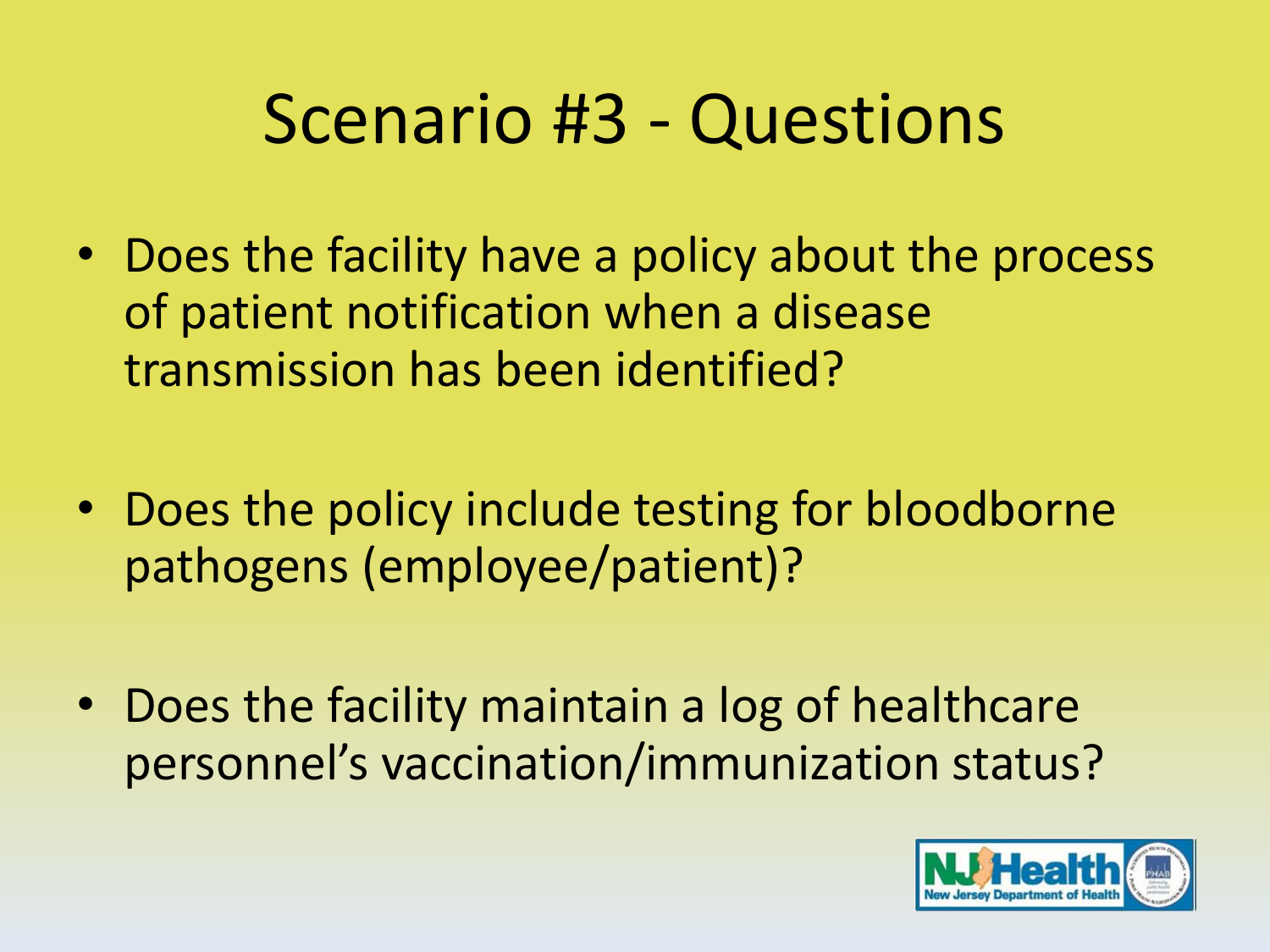- Does the facility have a policy about the process of patient notification when a disease transmission has been identified?
- Does the policy include testing for bloodborne pathogens (employee/patient)?
- Does the facility maintain a log of healthcare personnel's vaccination/immunization status?